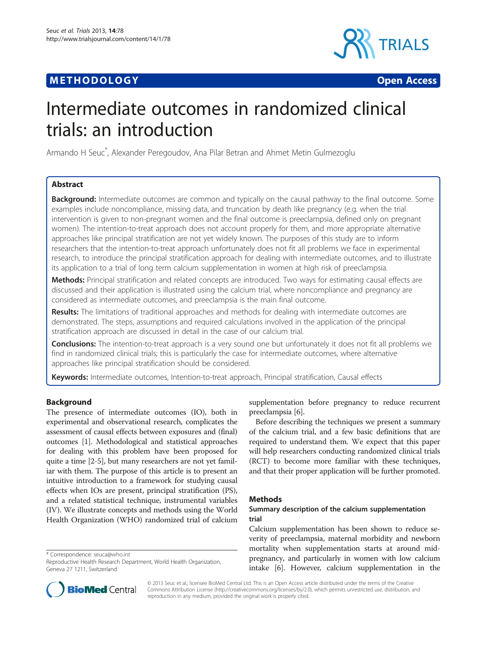## **METHODOLOGY CONSUMING ACCESS**



# Intermediate outcomes in randomized clinical trials: an introduction

Armando H Seuc\* , Alexander Peregoudov, Ana Pilar Betran and Ahmet Metin Gulmezoglu

## Abstract

**Background:** Intermediate outcomes are common and typically on the causal pathway to the final outcome. Some examples include noncompliance, missing data, and truncation by death like pregnancy (e.g. when the trial intervention is given to non-pregnant women and the final outcome is preeclampsia, defined only on pregnant women). The intention-to-treat approach does not account properly for them, and more appropriate alternative approaches like principal stratification are not yet widely known. The purposes of this study are to inform researchers that the intention-to-treat approach unfortunately does not fit all problems we face in experimental research, to introduce the principal stratification approach for dealing with intermediate outcomes, and to illustrate its application to a trial of long term calcium supplementation in women at high risk of preeclampsia.

Methods: Principal stratification and related concepts are introduced. Two ways for estimating causal effects are discussed and their application is illustrated using the calcium trial, where noncompliance and pregnancy are considered as intermediate outcomes, and preeclampsia is the main final outcome.

Results: The limitations of traditional approaches and methods for dealing with intermediate outcomes are demonstrated. The steps, assumptions and required calculations involved in the application of the principal stratification approach are discussed in detail in the case of our calcium trial.

Conclusions: The intention-to-treat approach is a very sound one but unfortunately it does not fit all problems we find in randomized clinical trials; this is particularly the case for intermediate outcomes, where alternative approaches like principal stratification should be considered.

Keywords: Intermediate outcomes, Intention-to-treat approach, Principal stratification, Causal effects

## Background

The presence of intermediate outcomes (IO), both in experimental and observational research, complicates the assessment of causal effects between exposures and (final) outcomes [\[1\]](#page-11-0). Methodological and statistical approaches for dealing with this problem have been proposed for quite a time [[2-5](#page-11-0)], but many researchers are not yet familiar with them. The purpose of this article is to present an intuitive introduction to a framework for studying causal effects when IOs are present, principal stratification (PS), and a related statistical technique, instrumental variables (IV). We illustrate concepts and methods using the World Health Organization (WHO) randomized trial of calcium

\* Correspondence: [seuca@who.int](mailto:seuca@who.int)



Before describing the techniques we present a summary of the calcium trial, and a few basic definitions that are required to understand them. We expect that this paper will help researchers conducting randomized clinical trials (RCT) to become more familiar with these techniques, and that their proper application will be further promoted.

## **Methods**

## Summary description of the calcium supplementation trial

Calcium supplementation has been shown to reduce severity of preeclampsia, maternal morbidity and newborn mortality when supplementation starts at around midpregnancy, and particularly in women with low calcium intake [[6\]](#page-11-0). However, calcium supplementation in the



© 2013 Seuc et al.; licensee BioMed Central Ltd. This is an Open Access article distributed under the terms of the Creative Commons Attribution License [\(http://creativecommons.org/licenses/by/2.0\)](http://creativecommons.org/licenses/by/2.0), which permits unrestricted use, distribution, and reproduction in any medium, provided the original work is properly cited.

Reproductive Health Research Department, World Health Organization, Geneva 27 1211, Switzerland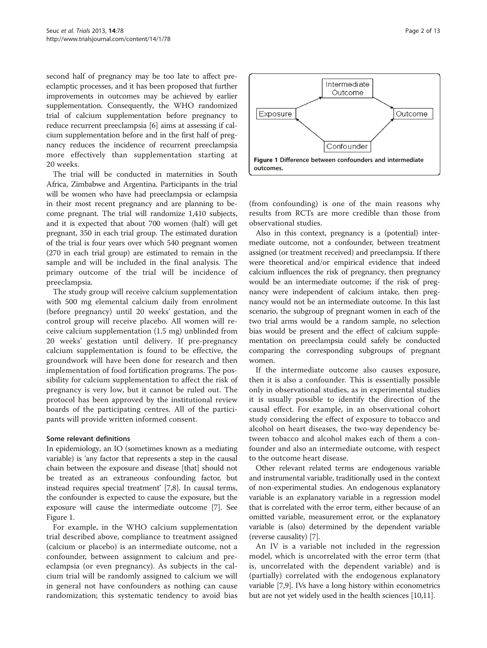second half of pregnancy may be too late to affect preeclamptic processes, and it has been proposed that further improvements in outcomes may be achieved by earlier supplementation. Consequently, the WHO randomized trial of calcium supplementation before pregnancy to reduce recurrent preeclampsia [\[6](#page-11-0)] aims at assessing if calcium supplementation before and in the first half of pregnancy reduces the incidence of recurrent preeclampsia more effectively than supplementation starting at 20 weeks.

The trial will be conducted in maternities in South Africa, Zimbabwe and Argentina. Participants in the trial will be women who have had preeclampsia or eclampsia in their most recent pregnancy and are planning to become pregnant. The trial will randomize 1,410 subjects, and it is expected that about 700 women (half) will get pregnant, 350 in each trial group. The estimated duration of the trial is four years over which 540 pregnant women (270 in each trial group) are estimated to remain in the sample and will be included in the final analysis. The primary outcome of the trial will be incidence of preeclampsia.

The study group will receive calcium supplementation with 500 mg elemental calcium daily from enrolment (before pregnancy) until 20 weeks' gestation, and the control group will receive placebo. All women will receive calcium supplementation (1.5 mg) unblinded from 20 weeks' gestation until delivery. If pre-pregnancy calcium supplementation is found to be effective, the groundwork will have been done for research and then implementation of food fortification programs. The possibility for calcium supplementation to affect the risk of pregnancy is very low, but it cannot be ruled out. The protocol has been approved by the institutional review boards of the participating centres. All of the participants will provide written informed consent.

## Some relevant definitions

In epidemiology, an IO (sometimes known as a mediating variable) is 'any factor that represents a step in the causal chain between the exposure and disease [that] should not be treated as an extraneous confounding factor, but instead requires special treatment' [\[7,8\]](#page-11-0). In causal terms, the confounder is expected to cause the exposure, but the exposure will cause the intermediate outcome [[7](#page-11-0)]. See Figure 1.

For example, in the WHO calcium supplementation trial described above, compliance to treatment assigned (calcium or placebo) is an intermediate outcome, not a confounder, between assignment to calcium and preeclampsia (or even pregnancy). As subjects in the calcium trial will be randomly assigned to calcium we will in general not have confounders as nothing can cause randomization; this systematic tendency to avoid bias



(from confounding) is one of the main reasons why results from RCTs are more credible than those from observational studies.

Also in this context, pregnancy is a (potential) intermediate outcome, not a confounder, between treatment assigned (or treatment received) and preeclampsia. If there were theoretical and/or empirical evidence that indeed calcium influences the risk of pregnancy, then pregnancy would be an intermediate outcome; if the risk of pregnancy were independent of calcium intake, then pregnancy would not be an intermediate outcome. In this last scenario, the subgroup of pregnant women in each of the two trial arms would be a random sample, no selection bias would be present and the effect of calcium supplementation on preeclampsia could safely be conducted comparing the corresponding subgroups of pregnant women.

If the intermediate outcome also causes exposure, then it is also a confounder. This is essentially possible only in observational studies, as in experimental studies it is usually possible to identify the direction of the causal effect. For example, in an observational cohort study considering the effect of exposure to tobacco and alcohol on heart diseases, the two-way dependency between tobacco and alcohol makes each of them a confounder and also an intermediate outcome, with respect to the outcome heart disease.

Other relevant related terms are endogenous variable and instrumental variable, traditionally used in the context of non-experimental studies. An endogenous explanatory variable is an explanatory variable in a regression model that is correlated with the error term, either because of an omitted variable, measurement error, or the explanatory variable is (also) determined by the dependent variable (reverse causality) [[7](#page-11-0)].

An IV is a variable not included in the regression model, which is uncorrelated with the error term (that is, uncorrelated with the dependent variable) and is (partially) correlated with the endogenous explanatory variable [[7,9](#page-11-0)]. IVs have a long history within econometrics but are not yet widely used in the health sciences [[10,11](#page-11-0)].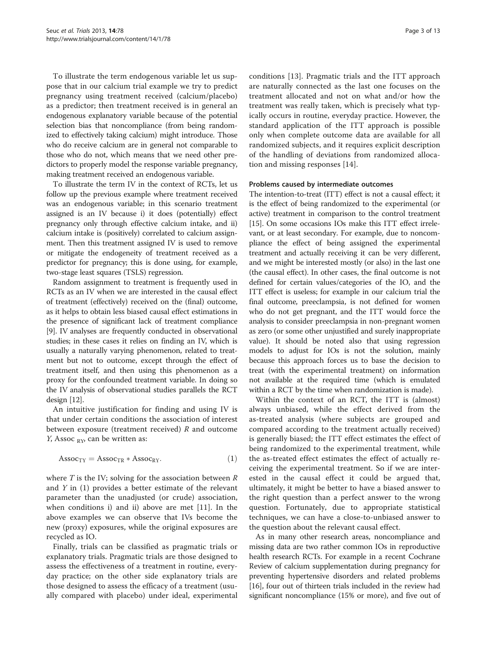To illustrate the term endogenous variable let us suppose that in our calcium trial example we try to predict pregnancy using treatment received (calcium/placebo) as a predictor; then treatment received is in general an endogenous explanatory variable because of the potential selection bias that noncompliance (from being randomized to effectively taking calcium) might introduce. Those who do receive calcium are in general not comparable to those who do not, which means that we need other predictors to properly model the response variable pregnancy, making treatment received an endogenous variable.

To illustrate the term IV in the context of RCTs, let us follow up the previous example where treatment received was an endogenous variable; in this scenario treatment assigned is an IV because i) it does (potentially) effect pregnancy only through effective calcium intake, and ii) calcium intake is (positively) correlated to calcium assignment. Then this treatment assigned IV is used to remove or mitigate the endogeneity of treatment received as a predictor for pregnancy; this is done using, for example, two-stage least squares (TSLS) regression.

Random assignment to treatment is frequently used in RCTs as an IV when we are interested in the causal effect of treatment (effectively) received on the (final) outcome, as it helps to obtain less biased causal effect estimations in the presence of significant lack of treatment compliance [[9\]](#page-11-0). IV analyses are frequently conducted in observational studies; in these cases it relies on finding an IV, which is usually a naturally varying phenomenon, related to treatment but not to outcome, except through the effect of treatment itself, and then using this phenomenon as a proxy for the confounded treatment variable. In doing so the IV analysis of observational studies parallels the RCT design [[12\]](#page-11-0).

An intuitive justification for finding and using IV is that under certain conditions the association of interest between exposure (treatment received)  $R$  and outcome *Y*, Assoc  $_{\rm RV}$ , can be written as:

$$
Assoc_{TY} = Assoc_{TR} * Assoc_{RY}.
$$
 (1)

where  $T$  is the IV; solving for the association between  $R$ and  $Y$  in  $(1)$  provides a better estimate of the relevant parameter than the unadjusted (or crude) association, when conditions i) and ii) above are met [\[11](#page-11-0)]. In the above examples we can observe that IVs become the new (proxy) exposures, while the original exposures are recycled as IO.

Finally, trials can be classified as pragmatic trials or explanatory trials. Pragmatic trials are those designed to assess the effectiveness of a treatment in routine, everyday practice; on the other side explanatory trials are those designed to assess the efficacy of a treatment (usually compared with placebo) under ideal, experimental

conditions [\[13](#page-11-0)]. Pragmatic trials and the ITT approach are naturally connected as the last one focuses on the treatment allocated and not on what and/or how the treatment was really taken, which is precisely what typically occurs in routine, everyday practice. However, the standard application of the ITT approach is possible only when complete outcome data are available for all randomized subjects, and it requires explicit description of the handling of deviations from randomized allocation and missing responses [\[14\]](#page-11-0).

## Problems caused by intermediate outcomes

The intention-to-treat (ITT) effect is not a causal effect; it is the effect of being randomized to the experimental (or active) treatment in comparison to the control treatment [[15](#page-11-0)]. On some occasions IOs make this ITT effect irrelevant, or at least secondary. For example, due to noncompliance the effect of being assigned the experimental treatment and actually receiving it can be very different, and we might be interested mostly (or also) in the last one (the causal effect). In other cases, the final outcome is not defined for certain values/categories of the IO, and the ITT effect is useless; for example in our calcium trial the final outcome, preeclampsia, is not defined for women who do not get pregnant, and the ITT would force the analysis to consider preeclampsia in non-pregnant women as zero (or some other unjustified and surely inappropriate value). It should be noted also that using regression models to adjust for IOs is not the solution, mainly because this approach forces us to base the decision to treat (with the experimental treatment) on information not available at the required time (which is emulated within a RCT by the time when randomization is made).

Within the context of an RCT, the ITT is (almost) always unbiased, while the effect derived from the as-treated analysis (where subjects are grouped and compared according to the treatment actually received) is generally biased; the ITT effect estimates the effect of being randomized to the experimental treatment, while the as-treated effect estimates the effect of actually receiving the experimental treatment. So if we are interested in the causal effect it could be argued that, ultimately, it might be better to have a biased answer to the right question than a perfect answer to the wrong question. Fortunately, due to appropriate statistical techniques, we can have a close-to-unbiased answer to the question about the relevant causal effect.

As in many other research areas, noncompliance and missing data are two rather common IOs in reproductive health research RCTs. For example in a recent Cochrane Review of calcium supplementation during pregnancy for preventing hypertensive disorders and related problems [[16](#page-11-0)], four out of thirteen trials included in the review had significant noncompliance (15% or more), and five out of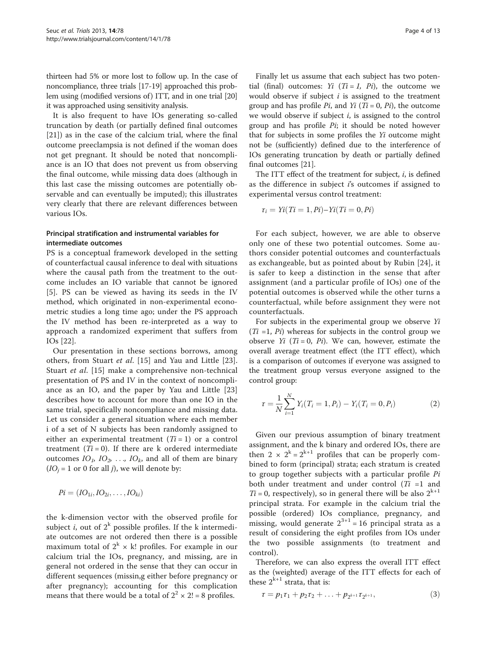thirteen had 5% or more lost to follow up. In the case of noncompliance, three trials [\[17](#page-11-0)-[19](#page-12-0)] approached this prob-lem using (modified versions of) ITT, and in one trial [[20](#page-12-0)] it was approached using sensitivity analysis.

It is also frequent to have IOs generating so-called truncation by death (or partially defined final outcomes [[21\]](#page-12-0)) as in the case of the calcium trial, where the final outcome preeclampsia is not defined if the woman does not get pregnant. It should be noted that noncompliance is an IO that does not prevent us from observing the final outcome, while missing data does (although in this last case the missing outcomes are potentially observable and can eventually be imputed); this illustrates very clearly that there are relevant differences between various IOs.

## Principal stratification and instrumental variables for intermediate outcomes

PS is a conceptual framework developed in the setting of counterfactual causal inference to deal with situations where the causal path from the treatment to the outcome includes an IO variable that cannot be ignored [[5\]](#page-11-0). PS can be viewed as having its seeds in the IV method, which originated in non-experimental econometric studies a long time ago; under the PS approach the IV method has been re-interpreted as a way to approach a randomized experiment that suffers from IOs [[22\]](#page-12-0).

Our presentation in these sections borrows, among others, from Stuart et al. [\[15](#page-11-0)] and Yau and Little [\[23](#page-12-0)]. Stuart et al. [[15\]](#page-11-0) make a comprehensive non-technical presentation of PS and IV in the context of noncompliance as an IO, and the paper by Yau and Little [\[23](#page-12-0)] describes how to account for more than one IO in the same trial, specifically noncompliance and missing data. Let us consider a general situation where each member i of a set of N subjects has been randomly assigned to either an experimental treatment  $(Ti = 1)$  or a control treatment ( $Ti = 0$ ). If there are k ordered intermediate outcomes  $IO_1$ ,  $IO_2$ , ...,  $IO_k$ , and all of them are binary  $(IO<sub>j</sub> = 1 or 0 for all *j*), we will denote by:$ 

$$
\mathit{Pi} = (\mathit{IO}_{1i}, \mathit{IO}_{2i}, \ldots, \mathit{IO}_{ki})
$$

the k-dimension vector with the observed profile for subject *i*, out of  $2^k$  possible profiles. If the k intermediate outcomes are not ordered then there is a possible maximum total of  $2^k \times k!$  profiles. For example in our calcium trial the IOs, pregnancy, and missing, are in general not ordered in the sense that they can occur in different sequences (missin,g either before pregnancy or after pregnancy); accounting for this complication means that there would be a total of  $2^2 \times 2! = 8$  profiles.

Finally let us assume that each subject has two potential (final) outcomes:  $Y_i$  ( $Ti = 1$ ,  $Pi$ ), the outcome we would observe if subject  $i$  is assigned to the treatment group and has profile  $Pi$ , and  $Yi$  (Ti = 0,  $Pi$ ), the outcome we would observe if subject  $i$ , is assigned to the control group and has profile  $Pi$ ; it should be noted however that for subjects in some profiles the Yi outcome might not be (sufficiently) defined due to the interference of IOs generating truncation by death or partially defined final outcomes [\[21\]](#page-12-0).

The ITT effect of the treatment for subject, i, is defined as the difference in subject i's outcomes if assigned to experimental versus control treatment:

$$
\tau_i = \text{Yi}(Ti = 1, Pi) - \text{Yi}(Ti = 0, Pi)
$$

For each subject, however, we are able to observe only one of these two potential outcomes. Some authors consider potential outcomes and counterfactuals as exchangeable, but as pointed about by Rubin [[24\]](#page-12-0), it is safer to keep a distinction in the sense that after assignment (and a particular profile of IOs) one of the potential outcomes is observed while the other turns a counterfactual, while before assignment they were not counterfactuals.

For subjects in the experimental group we observe Yi  $(Ti =1, Pi)$  whereas for subjects in the control group we observe *Yi* (*Ti* = 0, *Pi*). We can, however, estimate the overall average treatment effect (the ITT effect), which is a comparison of outcomes if everyone was assigned to the treatment group versus everyone assigned to the control group:

$$
\tau = \frac{1}{N} \sum_{i=1}^{N} Y_i (T_i = 1, P_i) - Y_i (T_i = 0, P_i)
$$
 (2)

Given our previous assumption of binary treatment assignment, and the k binary and ordered IOs, there are then  $2 \times 2^{k} = 2^{k+1}$  profiles that can be properly combined to form (principal) strata; each stratum is created to group together subjects with a particular profile Pi both under treatment and under control ( $Ti = 1$  and  $Ti = 0$ , respectively), so in general there will be also  $2^{k+1}$ principal strata. For example in the calcium trial the possible (ordered) IOs compliance, pregnancy, and missing, would generate  $2^{3+1}$  = 16 principal strata as a result of considering the eight profiles from IOs under the two possible assignments (to treatment and control).

Therefore, we can also express the overall ITT effect as the (weighted) average of the ITT effects for each of these  $2^{k+1}$  strata, that is:

$$
\tau = p_1 \tau_1 + p_2 \tau_2 + \ldots + p_{2^{k+1}} \tau_{2^{k+1}}, \qquad (3)
$$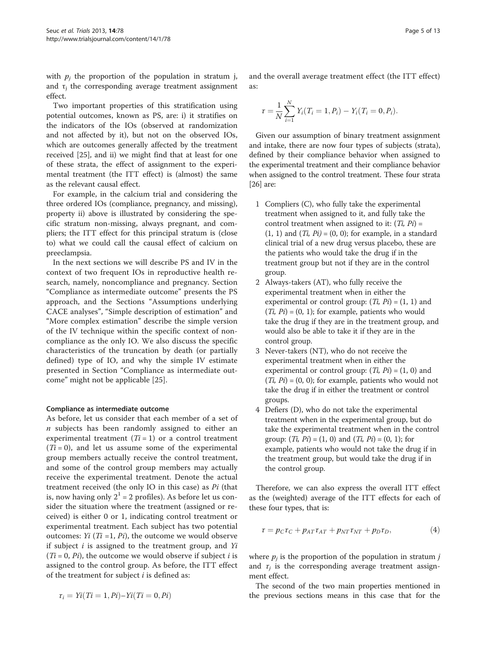<span id="page-4-0"></span>with  $p_i$  the proportion of the population in stratum j, and  $\tau_i$  the corresponding average treatment assignment effect.

Two important properties of this stratification using potential outcomes, known as PS, are: i) it stratifies on the indicators of the IOs (observed at randomization and not affected by it), but not on the observed IOs, which are outcomes generally affected by the treatment received [\[25\]](#page-12-0), and ii) we might find that at least for one of these strata, the effect of assignment to the experimental treatment (the ITT effect) is (almost) the same as the relevant causal effect.

For example, in the calcium trial and considering the three ordered IOs (compliance, pregnancy, and missing), property ii) above is illustrated by considering the specific stratum non-missing, always pregnant, and compliers; the ITT effect for this principal stratum is (close to) what we could call the causal effect of calcium on preeclampsia.

In the next sections we will describe PS and IV in the context of two frequent IOs in reproductive health research, namely, noncompliance and pregnancy. Section "Compliance as intermediate outcome" presents the PS approach, and the Sections "[Assumptions underlying](#page-5-0) [CACE analyses](#page-5-0)", "[Simple description of estimation](#page-5-0)" and "[More complex estimation](#page-5-0)" describe the simple version of the IV technique within the specific context of noncompliance as the only IO. We also discuss the specific characteristics of the truncation by death (or partially defined) type of IO, and why the simple IV estimate presented in Section "Compliance as intermediate outcome" might not be applicable [\[25](#page-12-0)].

## Compliance as intermediate outcome

As before, let us consider that each member of a set of  $n$  subjects has been randomly assigned to either an experimental treatment  $(Ti = 1)$  or a control treatment  $(Ti = 0)$ , and let us assume some of the experimental group members actually receive the control treatment, and some of the control group members may actually receive the experimental treatment. Denote the actual treatment received (the only IO in this case) as  $Pi$  (that is, now having only  $2^1 = 2$  profiles). As before let us consider the situation where the treatment (assigned or received) is either 0 or 1, indicating control treatment or experimental treatment. Each subject has two potential outcomes:  $Y_i$  (Ti =1, Pi), the outcome we would observe if subject  $i$  is assigned to the treatment group, and  $Y_i$ ( $Ti = 0$ ,  $Pi$ ), the outcome we would observe if subject *i* is assigned to the control group. As before, the ITT effect of the treatment for subject  $i$  is defined as:

and the overall average treatment effect (the ITT effect) as:

$$
\tau = \frac{1}{N} \sum_{i=1}^{N} Y_i (T_i = 1, P_i) - Y_i (T_i = 0, P_i).
$$

Given our assumption of binary treatment assignment and intake, there are now four types of subjects (strata), defined by their compliance behavior when assigned to the experimental treatment and their compliance behavior when assigned to the control treatment. These four strata [[26](#page-12-0)] are:

- 1 Compliers (C), who fully take the experimental treatment when assigned to it, and fully take the control treatment when assigned to it:  $(T_i, Pi)$  =  $(1, 1)$  and  $(Ti, Pi) = (0, 0)$ ; for example, in a standard clinical trial of a new drug versus placebo, these are the patients who would take the drug if in the treatment group but not if they are in the control group.
- 2 Always-takers (AT), who fully receive the experimental treatment when in either the experimental or control group:  $(T_i, Pi) = (1, 1)$  and  $(T_i, Pi) = (0, 1)$ ; for example, patients who would take the drug if they are in the treatment group, and would also be able to take it if they are in the control group.
- 3 Never-takers (NT), who do not receive the experimental treatment when in either the experimental or control group:  $(T_i, Pi) = (1, 0)$  and  $(T_i, Pi) = (0, 0)$ ; for example, patients who would not take the drug if in either the treatment or control groups.
- 4 Defiers (D), who do not take the experimental treatment when in the experimental group, but do take the experimental treatment when in the control group:  $(T_i, Pi) = (1, 0)$  and  $(T_i, Pi) = (0, 1)$ ; for example, patients who would not take the drug if in the treatment group, but would take the drug if in the control group.

Therefore, we can also express the overall ITT effect as the (weighted) average of the ITT effects for each of these four types, that is:

$$
\tau = p_C \tau_C + p_{AT} \tau_{AT} + p_{NT} \tau_{NT} + p_D \tau_D, \tag{4}
$$

where  $p_i$  is the proportion of the population in stratum j and  $\tau_i$  is the corresponding average treatment assignment effect.

The second of the two main properties mentioned in the previous sections means in this case that for the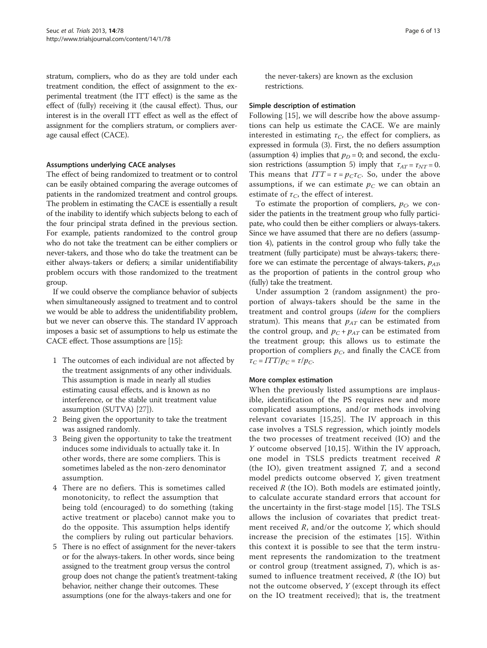<span id="page-5-0"></span>stratum, compliers, who do as they are told under each treatment condition, the effect of assignment to the experimental treatment (the ITT effect) is the same as the effect of (fully) receiving it (the causal effect). Thus, our interest is in the overall ITT effect as well as the effect of assignment for the compliers stratum, or compliers average causal effect (CACE).

## Assumptions underlying CACE analyses

The effect of being randomized to treatment or to control can be easily obtained comparing the average outcomes of patients in the randomized treatment and control groups. The problem in estimating the CACE is essentially a result of the inability to identify which subjects belong to each of the four principal strata defined in the previous section. For example, patients randomized to the control group who do not take the treatment can be either compliers or never-takers, and those who do take the treatment can be either always-takers or defiers; a similar unidentifiability problem occurs with those randomized to the treatment group.

If we could observe the compliance behavior of subjects when simultaneously assigned to treatment and to control we would be able to address the unidentifiability problem, but we never can observe this. The standard IV approach imposes a basic set of assumptions to help us estimate the CACE effect. Those assumptions are [[15](#page-11-0)]:

- 1 The outcomes of each individual are not affected by the treatment assignments of any other individuals. This assumption is made in nearly all studies estimating causal effects, and is known as no interference, or the stable unit treatment value assumption (SUTVA) [[27](#page-12-0)]).
- 2 Being given the opportunity to take the treatment was assigned randomly.
- 3 Being given the opportunity to take the treatment induces some individuals to actually take it. In other words, there are some compliers. This is sometimes labeled as the non-zero denominator assumption.
- 4 There are no defiers. This is sometimes called monotonicity, to reflect the assumption that being told (encouraged) to do something (taking active treatment or placebo) cannot make you to do the opposite. This assumption helps identify the compliers by ruling out particular behaviors.
- 5 There is no effect of assignment for the never-takers or for the always-takers. In other words, since being assigned to the treatment group versus the control group does not change the patient's treatment-taking behavior, neither change their outcomes. These assumptions (one for the always-takers and one for

the never-takers) are known as the exclusion restrictions.

## Simple description of estimation

Following [[15\]](#page-11-0), we will describe how the above assumptions can help us estimate the CACE. We are mainly interested in estimating  $\tau_C$ , the effect for compliers, as expressed in formula (3). First, the no defiers assumption (assumption 4) implies that  $p_D = 0$ ; and second, the exclusion restrictions (assumption 5) imply that  $\tau_{AT} = \tau_{NT} = 0$ . This means that  $ITT = \tau = p_C \tau_C$ . So, under the above assumptions, if we can estimate  $p<sub>C</sub>$  we can obtain an estimate of  $\tau_C$ , the effect of interest.

To estimate the proportion of compliers,  $p_C$  we consider the patients in the treatment group who fully participate, who could then be either compliers or always-takers. Since we have assumed that there are no defiers (assumption 4), patients in the control group who fully take the treatment (fully participate) must be always-takers; therefore we can estimate the percentage of always-takers,  $p_{AT}$ as the proportion of patients in the control group who (fully) take the treatment.

Under assumption 2 (random assignment) the proportion of always-takers should be the same in the treatment and control groups (idem for the compliers stratum). This means that  $p_{AT}$  can be estimated from the control group, and  $p_C + p_{AT}$  can be estimated from the treatment group; this allows us to estimate the proportion of compliers  $p_C$ , and finally the CACE from  $\tau_C = ITT/p_C = \tau/p_C$ .

## More complex estimation

When the previously listed assumptions are implausible, identification of the PS requires new and more complicated assumptions, and/or methods involving relevant covariates [[15](#page-11-0)[,25\]](#page-12-0). The IV approach in this case involves a TSLS regression, which jointly models the two processes of treatment received (IO) and the Y outcome observed [\[10,15](#page-11-0)]. Within the IV approach, one model in TSLS predicts treatment received R (the IO), given treatment assigned T, and a second model predicts outcome observed Y, given treatment received  $R$  (the IO). Both models are estimated jointly, to calculate accurate standard errors that account for the uncertainty in the first-stage model [[15](#page-11-0)]. The TSLS allows the inclusion of covariates that predict treatment received  $R$ , and/or the outcome  $Y$ , which should increase the precision of the estimates [[15\]](#page-11-0). Within this context it is possible to see that the term instrument represents the randomization to the treatment or control group (treatment assigned,  $T$ ), which is assumed to influence treatment received,  $R$  (the IO) but not the outcome observed, Y (except through its effect on the IO treatment received); that is, the treatment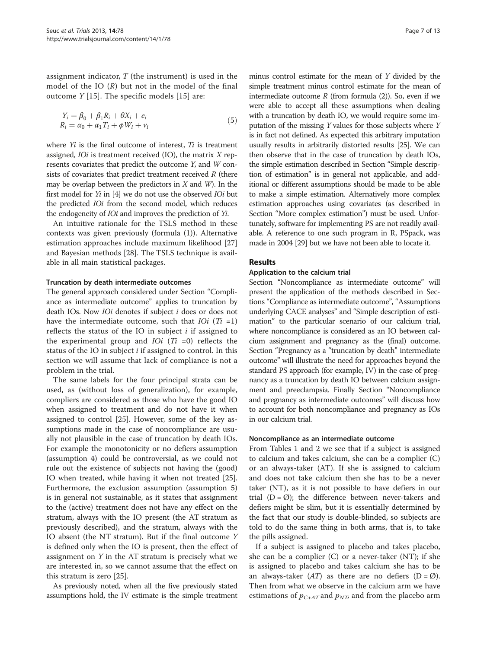<span id="page-6-0"></span>assignment indicator,  $T$  (the instrument) is used in the model of the IO  $(R)$  but not in the model of the final outcome  $Y$  [[15](#page-11-0)]. The specific models [15] are:

$$
Y_i = \beta_0 + \beta_1 R_i + \theta X_i + e_i
$$
  
\n
$$
R_i = \alpha_0 + \alpha_1 T_i + \phi W_i + v_i
$$
\n(5)

where  $Y_i$  is the final outcome of interest.  $T_i$  is treatment assigned,  $IOi$  is treatment received (IO), the matrix  $X$  represents covariates that predict the outcome  $Y$ , and  $W$  consists of covariates that predict treatment received  $R$  (there may be overlap between the predictors in  $X$  and  $W$ ). In the first model for Yi in [\[4\]](#page-11-0) we do not use the observed IOi but the predicted IOi from the second model, which reduces the endogeneity of IOi and improves the prediction of Yi.

An intuitive rationale for the TSLS method in these contexts was given previously (formula (1)). Alternative estimation approaches include maximum likelihood [[27](#page-12-0)] and Bayesian methods [\[28](#page-12-0)]. The TSLS technique is available in all main statistical packages.

## Truncation by death intermediate outcomes

The general approach considered under Section "Compliance as intermediate outcome" applies to truncation by death IOs. Now IOi denotes if subject i does or does not have the intermediate outcome, such that *IOi* ( $Ti = 1$ ) reflects the status of the IO in subject  $i$  if assigned to the experimental group and  $IOi$  ( $Ti = 0$ ) reflects the status of the IO in subject  $i$  if assigned to control. In this section we will assume that lack of compliance is not a problem in the trial.

The same labels for the four principal strata can be used, as (without loss of generalization), for example, compliers are considered as those who have the good IO when assigned to treatment and do not have it when assigned to control [\[25](#page-12-0)]. However, some of the key assumptions made in the case of noncompliance are usually not plausible in the case of truncation by death IOs. For example the monotonicity or no defiers assumption (assumption 4) could be controversial, as we could not rule out the existence of subjects not having the (good) IO when treated, while having it when not treated [\[25](#page-12-0)]. Furthermore, the exclusion assumption (assumption 5) is in general not sustainable, as it states that assignment to the (active) treatment does not have any effect on the stratum, always with the IO present (the AT stratum as previously described), and the stratum, always with the IO absent (the NT stratum). But if the final outcome Y is defined only when the IO is present, then the effect of assignment on  $Y$  in the AT stratum is precisely what we are interested in, so we cannot assume that the effect on this stratum is zero [[25\]](#page-12-0).

As previously noted, when all the five previously stated assumptions hold, the IV estimate is the simple treatment

minus control estimate for the mean of Y divided by the simple treatment minus control estimate for the mean of intermediate outcome  $R$  (from formula (2)). So, even if we were able to accept all these assumptions when dealing with a truncation by death IO, we would require some imputation of the missing Y values for those subjects where Y is in fact not defined. As expected this arbitrary imputation usually results in arbitrarily distorted results [[25](#page-12-0)]. We can then observe that in the case of truncation by death IOs, the simple estimation described in Section "[Simple descrip](#page-5-0)[tion of estimation](#page-5-0)" is in general not applicable, and additional or different assumptions should be made to be able to make a simple estimation. Alternatively more complex estimation approaches using covariates (as described in Section "More complex estimation") must be used. Unfortunately, software for implementing PS are not readily available. A reference to one such program in R, PSpack, was made in 2004 [[29](#page-12-0)] but we have not been able to locate it.

## Results

#### Application to the calcium trial

Section "Noncompliance as intermediate outcome" will present the application of the methods described in Sections "[Compliance as intermediate outcome](#page-4-0)", "[Assumptions](#page-5-0) [underlying CACE analyses](#page-5-0)" and "[Simple description of esti](#page-5-0)[mation](#page-5-0)" to the particular scenario of our calcium trial, where noncompliance is considered as an IO between calcium assignment and pregnancy as the (final) outcome. Section "Pregnancy as a "[truncation by death](#page-8-0)" intermediate [outcome](#page-8-0)" will illustrate the need for approaches beyond the standard PS approach (for example, IV) in the case of pregnancy as a truncation by death IO between calcium assignment and preeclampsia. Finally Section "[Noncompliance](#page-8-0) [and pregnancy as intermediate outcomes](#page-8-0)" will discuss how to account for both noncompliance and pregnancy as IOs in our calcium trial.

#### Noncompliance as an intermediate outcome

From Tables [1](#page-7-0) and [2](#page-7-0) we see that if a subject is assigned to calcium and takes calcium, she can be a complier (C) or an always-taker (AT). If she is assigned to calcium and does not take calcium then she has to be a never taker (NT), as it is not possible to have defiers in our trial  $(D = \emptyset)$ ; the difference between never-takers and defiers might be slim, but it is essentially determined by the fact that our study is double-blinded, so subjects are told to do the same thing in both arms, that is, to take the pills assigned.

If a subject is assigned to placebo and takes placebo, she can be a complier  $(C)$  or a never-taker  $(NT)$ ; if she is assigned to placebo and takes calcium she has to be an always-taker  $(AT)$  as there are no defiers  $(D = \emptyset)$ . Then from what we observe in the calcium arm we have estimations of  $p_{C+AT}$  and  $p_{NT}$  and from the placebo arm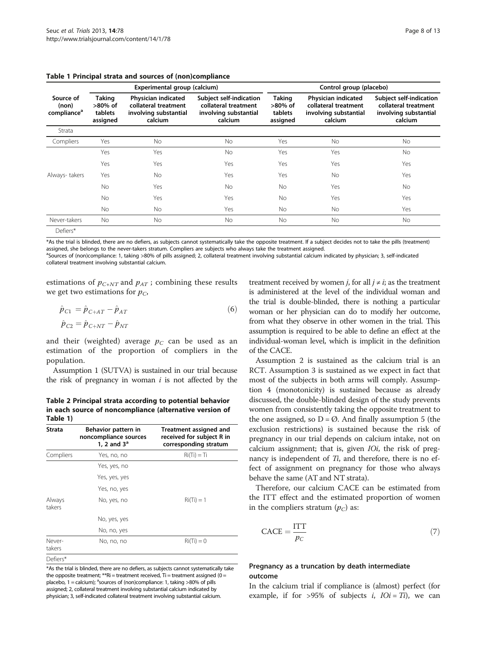|                                               |                                          | Experimental group (calcium)                                                    |                                                                                     | Control group (placebo)                  |                                                                                 |                                                                                     |  |
|-----------------------------------------------|------------------------------------------|---------------------------------------------------------------------------------|-------------------------------------------------------------------------------------|------------------------------------------|---------------------------------------------------------------------------------|-------------------------------------------------------------------------------------|--|
| Source of<br>(non)<br>compliance <sup>a</sup> | Taking<br>>80% of<br>tablets<br>assigned | Physician indicated<br>collateral treatment<br>involving substantial<br>calcium | Subject self-indication<br>collateral treatment<br>involving substantial<br>calcium | Taking<br>>80% of<br>tablets<br>assigned | Physician indicated<br>collateral treatment<br>involving substantial<br>calcium | Subject self-indication<br>collateral treatment<br>involving substantial<br>calcium |  |
| Strata                                        |                                          |                                                                                 |                                                                                     |                                          |                                                                                 |                                                                                     |  |
| Compliers                                     | Yes                                      | No.                                                                             | <b>No</b>                                                                           | Yes                                      | <b>No</b>                                                                       | No.                                                                                 |  |
|                                               | Yes                                      | Yes                                                                             | <b>No</b>                                                                           | Yes                                      | Yes                                                                             | <b>No</b>                                                                           |  |
|                                               | Yes                                      | Yes                                                                             | Yes                                                                                 | Yes                                      | Yes                                                                             | Yes                                                                                 |  |
| Always-takers                                 | Yes                                      | No.                                                                             | Yes                                                                                 | Yes                                      | <b>No</b>                                                                       | Yes                                                                                 |  |
|                                               | No                                       | Yes                                                                             | <b>No</b>                                                                           | <b>No</b>                                | Yes                                                                             | <b>No</b>                                                                           |  |
|                                               | <b>No</b>                                | Yes                                                                             | Yes                                                                                 | <b>No</b>                                | Yes                                                                             | Yes                                                                                 |  |
|                                               | <b>No</b>                                | No.                                                                             | Yes                                                                                 | No                                       | No                                                                              | Yes                                                                                 |  |
| Never-takers                                  | No.                                      | No.                                                                             | <b>No</b>                                                                           | <b>No</b>                                | <b>No</b>                                                                       | No.                                                                                 |  |
| Defiers*                                      |                                          |                                                                                 |                                                                                     |                                          |                                                                                 |                                                                                     |  |

<span id="page-7-0"></span>

|  |  | Table 1 Principal strata and sources of (non)compliance |  |  |  |  |  |  |  |
|--|--|---------------------------------------------------------|--|--|--|--|--|--|--|
|--|--|---------------------------------------------------------|--|--|--|--|--|--|--|

\*As the trial is blinded, there are no defiers, as subjects cannot systematically take the opposite treatment. If a subject decides not to take the pills (treatment) assigned, she belongs to the never-takers stratum. Compliers are subjects who always take the treatment assigned. a<br>Sources of (non)compliance: 1, taking >80% of pills assigned; 2, collateral treatment involving substantial calcium indicated by physician; 3, self-indicated collateral treatment involving substantial calcium.

estimations of  $p_{C+NT}$  and  $p_{AT}$ ; combining these results we get two estimations for  $p_C$ ,

$$
\hat{p}_{C1} = \hat{p}_{C+AT} - \hat{p}_{AT}
$$
\n
$$
\hat{p}_{C2} = \hat{p}_{C+NT} - \hat{p}_{NT}
$$
\n(6)

and their (weighted) average  $p_C$  can be used as an estimation of the proportion of compliers in the population.

Assumption 1 (SUTVA) is sustained in our trial because the risk of pregnancy in woman  $i$  is not affected by the

Table 2 Principal strata according to potential behavior in each source of noncompliance (alternative version of Table 1)

| 1 ANIC 17        |                                                                |                                                                              |
|------------------|----------------------------------------------------------------|------------------------------------------------------------------------------|
| Strata           | Behavior pattern in<br>noncompliance sources<br>1, 2 and $3^a$ | Treatment assigned and<br>received for subject R in<br>corresponding stratum |
| Compliers        | Yes, no, no                                                    | $Ri(Ti) = Ti$                                                                |
|                  | Yes, yes, no                                                   |                                                                              |
|                  | Yes, yes, yes                                                  |                                                                              |
|                  | Yes, no, yes                                                   |                                                                              |
| Always<br>takers | No, yes, no                                                    | $Ri(Ti) = 1$                                                                 |
|                  | No, yes, yes                                                   |                                                                              |
|                  | No, no, yes                                                    |                                                                              |
| Never-<br>takers | No, no, no                                                     | $\text{Ri}(\text{Ti})=0$                                                     |
| Defiers*         |                                                                |                                                                              |

\*As the trial is blinded, there are no defiers, as subjects cannot systematically take the opposite treatment; \*\*Ri = treatment received, Ti = treatment assigned (0 = placebo, 1 = calcium); <sup>a</sup>sources of (non)compliance: 1, taking >80% of pills assigned; 2, collateral treatment involving substantial calcium indicated by physician; 3, self-indicated collateral treatment involving substantial calcium.

treatment received by women *j*, for all  $j \neq i$ ; as the treatment is administered at the level of the individual woman and the trial is double-blinded, there is nothing a particular woman or her physician can do to modify her outcome, from what they observe in other women in the trial. This assumption is required to be able to define an effect at the individual-woman level, which is implicit in the definition of the CACE.

Assumption 2 is sustained as the calcium trial is an RCT. Assumption 3 is sustained as we expect in fact that most of the subjects in both arms will comply. Assumption 4 (monotonicity) is sustained because as already discussed, the double-blinded design of the study prevents women from consistently taking the opposite treatment to the one assigned, so  $D = \emptyset$ . And finally assumption 5 (the exclusion restrictions) is sustained because the risk of pregnancy in our trial depends on calcium intake, not on calcium assignment; that is, given IOi, the risk of pregnancy is independent of  $Ti$ , and therefore, there is no effect of assignment on pregnancy for those who always behave the same (AT and NT strata).

Therefore, our calcium CACE can be estimated from the ITT effect and the estimated proportion of women in the compliers stratum  $(p_C)$  as:

$$
CACE = \frac{ITT}{pc}
$$
 (7)

## Pregnancy as a truncation by death intermediate outcome

In the calcium trial if compliance is (almost) perfect (for example, if for >95% of subjects *i*,  $IOi = Ti$ ), we can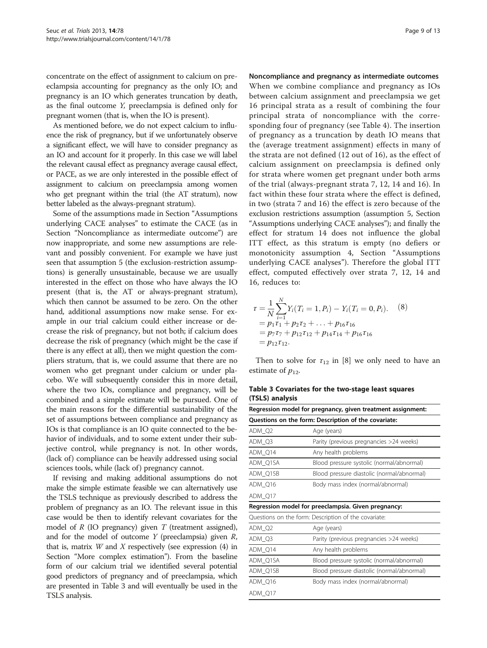<span id="page-8-0"></span>concentrate on the effect of assignment to calcium on preeclampsia accounting for pregnancy as the only IO; and pregnancy is an IO which generates truncation by death, as the final outcome Y, preeclampsia is defined only for pregnant women (that is, when the IO is present).

As mentioned before, we do not expect calcium to influence the risk of pregnancy, but if we unfortunately observe a significant effect, we will have to consider pregnancy as an IO and account for it properly. In this case we will label the relevant causal effect as pregnancy average causal effect, or PACE, as we are only interested in the possible effect of assignment to calcium on preeclampsia among women who get pregnant within the trial (the AT stratum), now better labeled as the always-pregnant stratum).

Some of the assumptions made in Section "[Assumptions](#page-5-0) [underlying CACE analyses](#page-5-0)" to estimate the CACE (as in Section "[Noncompliance as intermediate outcome](#page-6-0)") are now inappropriate, and some new assumptions are relevant and possibly convenient. For example we have just seen that assumption 5 (the exclusion-restriction assumptions) is generally unsustainable, because we are usually interested in the effect on those who have always the IO present (that is, the AT or always-pregnant stratum), which then cannot be assumed to be zero. On the other hand, additional assumptions now make sense. For example in our trial calcium could either increase or decrease the risk of pregnancy, but not both; if calcium does decrease the risk of pregnancy (which might be the case if there is any effect at all), then we might question the compliers stratum, that is, we could assume that there are no women who get pregnant under calcium or under placebo. We will subsequently consider this in more detail, where the two IOs, compliance and pregnancy, will be combined and a simple estimate will be pursued. One of the main reasons for the differential sustainability of the set of assumptions between compliance and pregnancy as IOs is that compliance is an IO quite connected to the behavior of individuals, and to some extent under their subjective control, while pregnancy is not. In other words, (lack of) compliance can be heavily addressed using social sciences tools, while (lack of) pregnancy cannot.

If revising and making additional assumptions do not make the simple estimate feasible we can alternatively use the TSLS technique as previously described to address the problem of pregnancy as an IO. The relevant issue in this case would be then to identify relevant covariates for the model of  $R$  (IO pregnancy) given  $T$  (treatment assigned), and for the model of outcome  $Y$  (preeclampsia) given  $R$ , that is, matrix  $W$  and  $X$  respectively (see expression  $(4)$  in Section "[More complex estimation](#page-5-0)"). From the baseline form of our calcium trial we identified several potential good predictors of pregnancy and of preeclampsia, which are presented in Table 3 and will eventually be used in the TSLS analysis.

Noncompliance and pregnancy as intermediate outcomes When we combine compliance and pregnancy as IOs between calcium assignment and preeclampsia we get 16 principal strata as a result of combining the four principal strata of noncompliance with the corresponding four of pregnancy (see Table [4](#page-9-0)). The insertion of pregnancy as a truncation by death IO means that the (average treatment assignment) effects in many of the strata are not defined (12 out of 16), as the effect of calcium assignment on preeclampsia is defined only for strata where women get pregnant under both arms of the trial (always-pregnant strata 7, 12, 14 and 16). In fact within these four strata where the effect is defined, in two (strata 7 and 16) the effect is zero because of the exclusion restrictions assumption (assumption 5, Section "[Assumptions underlying CACE analyses](#page-5-0)"); and finally the effect for stratum 14 does not influence the global ITT effect, as this stratum is empty (no defiers or monotonicity assumption 4, Section "[Assumptions](#page-5-0) [underlying CACE analyses](#page-5-0)"). Therefore the global ITT effect, computed effectively over strata 7, 12, 14 and 16, reduces to:

$$
\tau = \frac{1}{N} \sum_{i=1}^{N} Y_i (T_i = 1, P_i) - Y_i (T_i = 0, P_i).
$$
 (8)  
=  $p_1 \tau_1 + p_2 \tau_2 + \ldots + p_{16} \tau_{16}$   
=  $p_7 \tau_7 + p_{12} \tau_{12} + p_{14} \tau_{14} + p_{16} \tau_{16}$   
=  $p_{12} \tau_{12}.$ 

Then to solve for  $\tau_{12}$  in [[8\]](#page-11-0) we only need to have an estimate of  $p_{12}$ .

Table 3 Covariates for the two-stage least squares (TSLS) analysis

| Regression model for pregnancy, given treatment assignment: |                                                      |  |  |  |  |  |
|-------------------------------------------------------------|------------------------------------------------------|--|--|--|--|--|
| Questions on the form: Description of the covariate:        |                                                      |  |  |  |  |  |
| ADM_Q2<br>Age (years)                                       |                                                      |  |  |  |  |  |
| ADM Q3                                                      | Parity (previous pregnancies >24 weeks)              |  |  |  |  |  |
| ADM Q14                                                     | Any health problems                                  |  |  |  |  |  |
| ADM Q1SA                                                    | Blood pressure systolic (normal/abnormal)            |  |  |  |  |  |
| ADM Q15B                                                    | Blood pressure diastolic (normal/abnormal)           |  |  |  |  |  |
| ADM Q16                                                     | Body mass index (normal/abnormal)                    |  |  |  |  |  |
| ADM Q17                                                     |                                                      |  |  |  |  |  |
|                                                             | Regression model for preeclampsia. Given pregnancy:  |  |  |  |  |  |
|                                                             | Questions on the form: Description of the covariate: |  |  |  |  |  |
| ADM_Q2                                                      | Age (years)                                          |  |  |  |  |  |
| ADM_Q3                                                      | Parity (previous pregnancies >24 weeks)              |  |  |  |  |  |
| ADM_Q14                                                     | Any health problems                                  |  |  |  |  |  |
| ADM_Q1SA                                                    | Blood pressure systolic (normal/abnormal)            |  |  |  |  |  |
| ADM_Q1SB                                                    | Blood pressure diastolic (normal/abnormal)           |  |  |  |  |  |
| ADM_Q16                                                     | Body mass index (normal/abnormal)                    |  |  |  |  |  |
| ADM_Q17                                                     |                                                      |  |  |  |  |  |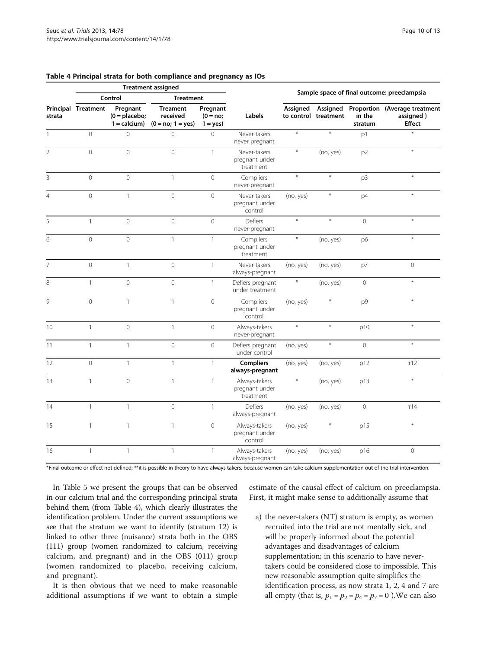|                |                     |                                               | <b>Treatment assigned</b>                          |                                     |                                              | Sample space of final outcome: preeclampsia |                                  |                     |                                                             |
|----------------|---------------------|-----------------------------------------------|----------------------------------------------------|-------------------------------------|----------------------------------------------|---------------------------------------------|----------------------------------|---------------------|-------------------------------------------------------------|
| strata         | Control             |                                               | <b>Treatment</b>                                   |                                     |                                              |                                             |                                  |                     |                                                             |
|                | Principal Treatment | Pregnant<br>$(0 = placebo;$<br>$1 =$ calcium) | <b>Treament</b><br>received<br>$(0 = no; 1 = yes)$ | Pregnant<br>$(0 = no;$<br>$1 = yes$ | Labels                                       | Assigned                                    | Assigned<br>to control treatment | in the<br>stratum   | Proportion (Average treatment<br>assigned)<br><b>Effect</b> |
| 1              | $\overline{0}$      | $\overline{0}$                                | $\overline{0}$                                     | $\overline{0}$                      | Never-takers<br>never pregnant               | $\ast$                                      | $\ast$                           | p1                  | ¥                                                           |
| $\overline{2}$ | $\overline{0}$      | $\overline{0}$                                | $\overline{0}$                                     | $\mathbf{1}$                        | Never-takers<br>pregnant under<br>treatment  | $\ast$                                      | (no, yes)                        | p <sub>2</sub>      | $\ast$                                                      |
| 3              | $\mathbf 0$         | $\overline{0}$                                | $\mathbf{1}$                                       | $\overline{0}$                      | Compliers<br>never-pregnant                  | $\ast$                                      | $\ast$                           | p <sub>3</sub>      | $\ast$                                                      |
| 4              | $\mathsf{O}\xspace$ | $\mathbf{1}$                                  | $\overline{0}$                                     | $\overline{0}$                      | Never-takers<br>pregnant under<br>control    | (no, yes)                                   | ¥                                | p4                  | $\ast$                                                      |
| 5              | $\mathbf{1}$        | $\Omega$                                      | $\overline{0}$                                     | $\Omega$                            | Defiers<br>never-pregnant                    | $\star$                                     | $\ast$                           | $\Omega$            | ¥                                                           |
| 6              | $\Omega$            | $\Omega$                                      | $\mathbf{1}$                                       | $\mathbf{1}$                        | Compliers<br>pregnant under<br>treatment     | $\ast$                                      | (no, yes)                        | p6                  | $\ast$                                                      |
| $\overline{7}$ | $\overline{0}$      | $\mathbf{1}$                                  | $\overline{0}$                                     | $\mathbf{1}$                        | Never-takers<br>always-pregnant              | (no, yes)                                   | (no, yes)                        | p7                  | $\mathbf 0$                                                 |
| 8              | $\mathbf{1}$        | $\Omega$                                      | $\overline{0}$                                     | $\mathbf{1}$                        | Defiers pregnant<br>under treatment          | $\ast$                                      | (no, yes)                        | $\overline{0}$      | $\ast$                                                      |
| 9              | $\overline{0}$      | $\overline{1}$                                | 1                                                  | $\overline{0}$                      | Compliers<br>pregnant under<br>control       | (no, yes)                                   |                                  | p9                  |                                                             |
| 10             | $\mathbf{1}$        | $\overline{0}$                                | $\mathbf{1}$                                       | $\overline{0}$                      | Always-takers<br>never-pregnant              | $\ast$                                      | $\ast$                           | p10                 | $\ast$                                                      |
| 11             | $\mathbf{1}$        | $\mathbf{1}$                                  | $\mathsf{O}\xspace$                                | $\overline{0}$                      | Defiers pregnant<br>under control            | (no, yes)                                   | $\ast$                           | $\mathsf{O}\xspace$ | $\ast$                                                      |
| 12             | $\Omega$            | $\mathbf{1}$                                  | $\mathbf{1}$                                       | $\mathbf{1}$                        | <b>Compliers</b><br>always-pregnant          | (no, yes)                                   | (no, yes)                        | p12                 | T12                                                         |
| 13             | $\mathbf{1}$        | $\Omega$                                      | $\mathbf{1}$                                       | $\mathbf{1}$                        | Always-takers<br>pregnant under<br>treatment | $\ast$                                      | (no, yes)                        | p13                 | $\ast$                                                      |
| 14             | $\mathbf{1}$        | $\mathbf{1}$                                  | $\overline{0}$                                     | $\mathbf{1}$                        | Defiers<br>always-pregnant                   | (no, yes)                                   | (no, yes)                        | $\mathbf 0$         | T14                                                         |
| 15             | $\mathbf{1}$        | $\overline{1}$                                | $\mathbf{1}$                                       | $\overline{0}$                      | Always-takers<br>pregnant under<br>control   | (no, yes)                                   |                                  | p15                 | $\ast$                                                      |
| 16             | $\mathbf{1}$        | $\mathbf{1}$                                  | $\mathbf{1}$                                       | $\mathbf{1}$                        | Always-takers<br>always-pregnant             | (no, yes)                                   | (no, yes)                        | p16                 | $\overline{0}$                                              |

#### <span id="page-9-0"></span>Table 4 Principal strata for both compliance and pregnancy as IOs

\*Final outcome or effect not defined; \*\*it is possible in theory to have always-takers, because women can take calcium supplementation out of the trial intervention.

In Table [5](#page-10-0) we present the groups that can be observed in our calcium trial and the corresponding principal strata behind them (from Table 4), which clearly illustrates the identification problem. Under the current assumptions we see that the stratum we want to identify (stratum 12) is linked to other three (nuisance) strata both in the OBS (111) group (women randomized to calcium, receiving calcium, and pregnant) and in the OBS (011) group (women randomized to placebo, receiving calcium, and pregnant).

It is then obvious that we need to make reasonable additional assumptions if we want to obtain a simple estimate of the causal effect of calcium on preeclampsia. First, it might make sense to additionally assume that

a) the never-takers (NT) stratum is empty, as women recruited into the trial are not mentally sick, and will be properly informed about the potential advantages and disadvantages of calcium supplementation; in this scenario to have nevertakers could be considered close to impossible. This new reasonable assumption quite simplifies the identification process, as now strata 1, 2, 4 and 7 are all empty (that is,  $p_1 = p_2 = p_4 = p_7 = 0$ ). We can also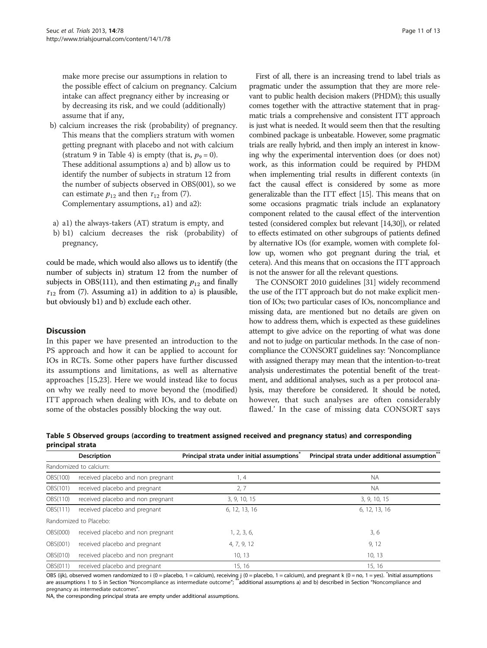<span id="page-10-0"></span>make more precise our assumptions in relation to the possible effect of calcium on pregnancy. Calcium intake can affect pregnancy either by increasing or by decreasing its risk, and we could (additionally) assume that if any,

- b) calcium increases the risk (probability) of pregnancy. This means that the compliers stratum with women getting pregnant with placebo and not with calcium (stratum 9 in Table [4\)](#page-9-0) is empty (that is,  $p_9 = 0$ ). These additional assumptions a) and b) allow us to identify the number of subjects in stratum 12 from the number of subjects observed in OBS(001), so we can estimate  $p_{12}$  and then  $\tau_{12}$  from (7). Complementary assumptions, a1) and a2):
- a) a1) the always-takers (AT) stratum is empty, and
- b) b1) calcium decreases the risk (probability) of pregnancy,

could be made, which would also allows us to identify (the number of subjects in) stratum 12 from the number of subjects in OBS(111), and then estimating  $p_{12}$  and finally  $\tau_{12}$  from (7). Assuming a1) in addition to a) is plausible, but obviously b1) and b) exclude each other.

## **Discussion**

In this paper we have presented an introduction to the PS approach and how it can be applied to account for IOs in RCTs. Some other papers have further discussed its assumptions and limitations, as well as alternative approaches [\[15](#page-11-0)[,23](#page-12-0)]. Here we would instead like to focus on why we really need to move beyond the (modified) ITT approach when dealing with IOs, and to debate on some of the obstacles possibly blocking the way out.

First of all, there is an increasing trend to label trials as pragmatic under the assumption that they are more relevant to public health decision makers (PHDM); this usually comes together with the attractive statement that in pragmatic trials a comprehensive and consistent ITT approach is just what is needed. It would seem then that the resulting combined package is unbeatable. However, some pragmatic trials are really hybrid, and then imply an interest in knowing why the experimental intervention does (or does not) work, as this information could be required by PHDM when implementing trial results in different contexts (in fact the causal effect is considered by some as more generalizable than the ITT effect [\[15\]](#page-11-0). This means that on some occasions pragmatic trials include an explanatory component related to the causal effect of the intervention tested (considered complex but relevant [[14](#page-11-0)[,30](#page-12-0)]), or related to effects estimated on other subgroups of patients defined by alternative IOs (for example, women with complete follow up, women who got pregnant during the trial, et cetera). And this means that on occasions the ITT approach is not the answer for all the relevant questions.

The CONSORT 2010 guidelines [\[31\]](#page-12-0) widely recommend the use of the ITT approach but do not make explicit mention of IOs; two particular cases of IOs, noncompliance and missing data, are mentioned but no details are given on how to address them, which is expected as these guidelines attempt to give advice on the reporting of what was done and not to judge on particular methods. In the case of noncompliance the CONSORT guidelines say: 'Noncompliance with assigned therapy may mean that the intention-to-treat analysis underestimates the potential benefit of the treatment, and additional analyses, such as a per protocol analysis, may therefore be considered. It should be noted, however, that such analyses are often considerably flawed.' In the case of missing data CONSORT says

Table 5 Observed groups (according to treatment assigned received and pregnancy status) and corresponding principal strata

|          | <b>Description</b>                | Principal strata under initial assumptions <sup>7</sup> | Principal strata under additional assumption** |
|----------|-----------------------------------|---------------------------------------------------------|------------------------------------------------|
|          | Randomized to calcium:            |                                                         |                                                |
| OBS(100) | received placebo and non pregnant | 1, 4                                                    | <b>NA</b>                                      |
| OBS(101) | received placebo and pregnant     | 2,7                                                     | <b>NA</b>                                      |
| OBS(110) | received placebo and non pregnant | 3, 9, 10, 15                                            | 3, 9, 10, 15                                   |
| OBS(111) | received placebo and pregnant     | 6, 12, 13, 16                                           | 6, 12, 13, 16                                  |
|          | Randomized to Placebo:            |                                                         |                                                |
| OBS(000) | received placebo and non pregnant | 1, 2, 3, 6,                                             | 3,6                                            |
| OBS(001) | received placebo and pregnant     | 4, 7, 9, 12                                             | 9, 12                                          |
| OBS(010) | received placebo and non pregnant | 10, 13                                                  | 10, 13                                         |
| OBS(011) | received placebo and pregnant     | 15, 16                                                  | 15, 16                                         |

OBS (ijk), observed women randomized to i (0 = placebo, 1 = calcium), receiving j (0 = placebo, 1 = calcium), and pregnant k (0 = no, 1 = yes). \* Initial assumptions are assumptions 1 to 5 in Section "[Noncompliance as intermediate outcome](#page-6-0)"; \*\*additional assumptions a) and b) described in Section "[Noncompliance and](#page-8-0) [pregnancy as intermediate outcomes](#page-8-0)".

NA, the corresponding principal strata are empty under additional assumptions.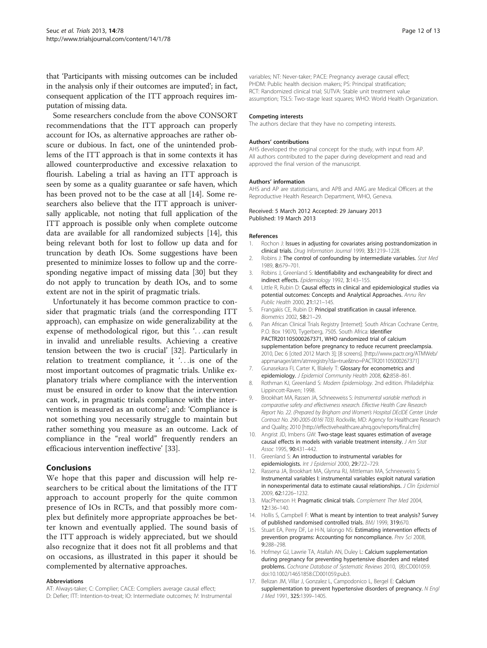<span id="page-11-0"></span>that 'Participants with missing outcomes can be included in the analysis only if their outcomes are imputed'; in fact, consequent application of the ITT approach requires imputation of missing data.

Some researchers conclude from the above CONSORT recommendations that the ITT approach can properly account for IOs, as alternative approaches are rather obscure or dubious. In fact, one of the unintended problems of the ITT approach is that in some contexts it has allowed counterproductive and excessive relaxation to flourish. Labeling a trial as having an ITT approach is seen by some as a quality guarantee or safe haven, which has been proved not to be the case at all [14]. Some researchers also believe that the ITT approach is universally applicable, not noting that full application of the ITT approach is possible only when complete outcome data are available for all randomized subjects [14], this being relevant both for lost to follow up data and for truncation by death IOs. Some suggestions have been presented to minimize losses to follow up and the corresponding negative impact of missing data [[30\]](#page-12-0) but they do not apply to truncation by death IOs, and to some extent are not in the spirit of pragmatic trials.

Unfortunately it has become common practice to consider that pragmatic trials (and the corresponding ITT approach), can emphasize on wide generalizability at the expense of methodological rigor, but this '...can result in invalid and unreliable results. Achieving a creative tension between the two is crucial' [\[32](#page-12-0)]. Particularly in relation to treatment compliance, it '...is one of the most important outcomes of pragmatic trials. Unlike explanatory trials where compliance with the intervention must be ensured in order to know that the intervention can work, in pragmatic trials compliance with the intervention is measured as an outcome'; and: 'Compliance is not something you necessarily struggle to maintain but rather something you measure as an outcome. Lack of compliance in the "real world" frequently renders an efficacious intervention ineffective' [[33\]](#page-12-0).

## Conclusions

We hope that this paper and discussion will help researchers to be critical about the limitations of the ITT approach to account properly for the quite common presence of IOs in RCTs, and that possibly more complex but definitely more appropriate approaches be better known and eventually applied. The sound basis of the ITT approach is widely appreciated, but we should also recognize that it does not fit all problems and that on occasions, as illustrated in this paper it should be complemented by alternative approaches.

#### Abbreviations

AT: Always-taker; C: Complier; CACE: Compliers average causal effect; D: Defier; ITT: Intention-to-treat; IO: Intermediate outcomes; IV: Instrumental

variables; NT: Never-taker; PACE: Pregnancy average causal effect; PHDM: Public health decision makers; PS: Principal stratification; RCT: Randomized clinical trial; SUTVA: Stable unit treatment value assumption; TSLS: Two-stage least squares; WHO: World Health Organization.

#### Competing interests

The authors declare that they have no competing interests.

#### Authors' contributions

AHS developed the original concept for the study, with input from AP. All authors contributed to the paper during development and read and approved the final version of the manuscript.

#### Authors' information

AHS and AP are statisticians, and APB and AMG are Medical Officers at the Reproductive Health Research Department, WHO, Geneva.

#### Received: 5 March 2012 Accepted: 29 January 2013 Published: 19 March 2013

#### References

- 1. Rochon J: Issues in adjusting for covariates arising postrandomization in clinical trials. Drug Information Journal 1999, 33:1219–1228.
- 2. Robins J: The control of confounding by intermediate variables. Stat Med 1989, 8:679–701.
- 3. Robins J, Greenland S: Identifiability and exchangeability for direct and indirect effects. Epidemiology 1992, 3:143–155.
- 4. Little R, Rubin D: Causal effects in clinical and epidemiological studies via potential outcomes: Concepts and Analytical Approaches. Annu Rev Public Health 2000, 21:121–145.
- 5. Frangakis CE, Rubin D: Principal stratification in causal inference. Biometrics 2002, 58:21–29.
- Pan African Clinical Trials Registry [Internet]: South African Cochrane Centre, P.O. Box 19070, Tygerberg, 7505. South Africa: Identifier PACTR201105000267371, WHO randomized trial of calcium supplementation before pregnancy to reduce recurrent preeclampsia. 2010, Dec 6 [cited 2012 March 3]; [8 screens]. [\[http://www.pactr.org/ATMWeb/](http://www.pactr.org/ATMWeb/appmanager/atm/atmregistry?da=true&tno=PACTR201105000267371) [appmanager/atm/atmregistry?da=true&tno=PACTR201105000267371\]](http://www.pactr.org/ATMWeb/appmanager/atm/atmregistry?da=true&tno=PACTR201105000267371)
- 7. Gunasekara FI, Carter K, Blakely T: Glossary for econometrics and epidemiology. J Epidemiol Community Health 2008, 62:858–861.
- 8. Rothman KJ, Greenland S: Modern Epidemiology. 2nd edition. Philadelphia: Lippincott-Raven; 1998.
- 9. Brookhart MA, Rassen JA, Schneeweiss S: Instrumental variable methods in comparative safety and effectiveness research. Effective Health Care Research Report No. 22. (Prepared by Brigham and Women's Hospital DEcIDE Center Under Contract No. 290-2005-0016I T03). Rockville, MD: Agency for Healthcare Research and Quality; 2010 [\[http://effectivehealthcare.ahrq.gov/reports/final.cfm](http://effectivehealthcare.ahrq.gov/reports/final.cfm)]
- 10. Angrist JD, Imbens GW: Two-stage least squares estimation of average causal effects in models with variable treatment intensity. J Am Stat Assoc 1995, 90:431–442.
- 11. Greenland S: An introduction to instrumental variables for epidemiologists. Int J Epidemiol 2000, 29:722–729.
- 12. Rassena JA, Brookhart MA, Glynna RJ, Mittleman MA, Schneeweiss S: Instrumental variables I: instrumental variables exploit natural variation in nonexperimental data to estimate causal relationships. J Clin Epidemiol 2009, 62:1226–1232.
- 13. MacPherson H: Pragmatic clinical trials. Complement Ther Med 2004, 12:136–140.
- 14. Hollis S, Campbell F: What is meant by intention to treat analysis? Survey of published randomised controlled trials. BMJ 1999, 319:670.
- 15. Stuart EA, Perry DF, Le H-N, Ialongo NS: Estimating intervention effects of prevention programs: Accounting for noncompliance. Prev Sci 2008, 9:288–298.
- 16. Hofmeyr GJ, Lawrie TA, Atallah AN, Duley L: Calcium supplementation during pregnancy for preventing hypertensive disorders and related problems. Cochrane Database of Systematic Reviews 2010, (8):CD001059. doi[:10.1002/14651858.CD001059.pub3.](http://dx.doi.org/10.1002/14651858.CD001059.pub3)
- 17. Belizan JM, Villar J, Gonzalez L, Campodonico L, Bergel E: Calcium supplementation to prevent hypertensive disorders of pregnancy. N Engl J Med 1991, 325:1399–1405.